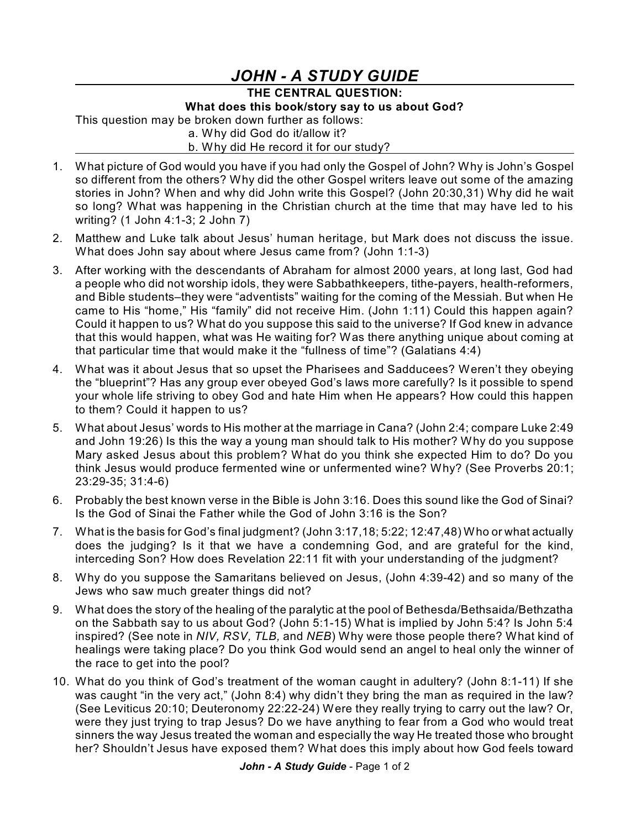## *JOHN - A STUDY GUIDE*

**THE CENTRAL QUESTION:**

## **What does this book/story say to us about God?**

This question may be broken down further as follows: a. Why did God do it/allow it? b. Why did He record it for our study?

- 1. What picture of God would you have if you had only the Gospel of John? Why is John's Gospel so different from the others? Why did the other Gospel writers leave out some of the amazing stories in John? When and why did John write this Gospel? (John 20:30,31) Why did he wait so long? What was happening in the Christian church at the time that may have led to his writing? (1 John 4:1-3; 2 John 7)
- 2. Matthew and Luke talk about Jesus' human heritage, but Mark does not discuss the issue. What does John say about where Jesus came from? (John 1:1-3)
- 3. After working with the descendants of Abraham for almost 2000 years, at long last, God had a people who did not worship idols, they were Sabbathkeepers, tithe-payers, health-reformers, and Bible students–they were "adventists" waiting for the coming of the Messiah. But when He came to His "home," His "family" did not receive Him. (John 1:11) Could this happen again? Could it happen to us? What do you suppose this said to the universe? If God knew in advance that this would happen, what was He waiting for? Was there anything unique about coming at that particular time that would make it the "fullness of time"? (Galatians 4:4)
- 4. What was it about Jesus that so upset the Pharisees and Sadducees? Weren't they obeying the "blueprint"? Has any group ever obeyed God's laws more carefully? Is it possible to spend your whole life striving to obey God and hate Him when He appears? How could this happen to them? Could it happen to us?
- 5. What about Jesus' words to His mother at the marriage in Cana? (John 2:4; compare Luke 2:49 and John 19:26) Is this the way a young man should talk to His mother? Why do you suppose Mary asked Jesus about this problem? What do you think she expected Him to do? Do you think Jesus would produce fermented wine or unfermented wine? Why? (See Proverbs 20:1; 23:29-35; 31:4-6)
- 6. Probably the best known verse in the Bible is John 3:16. Does this sound like the God of Sinai? Is the God of Sinai the Father while the God of John 3:16 is the Son?
- 7. What is the basis for God's final judgment? (John 3:17,18; 5:22; 12:47,48) Who or what actually does the judging? Is it that we have a condemning God, and are grateful for the kind, interceding Son? How does Revelation 22:11 fit with your understanding of the judgment?
- 8. Why do you suppose the Samaritans believed on Jesus, (John 4:39-42) and so many of the Jews who saw much greater things did not?
- 9. What does the story of the healing of the paralytic at the pool of Bethesda/Bethsaida/Bethzatha on the Sabbath say to us about God? (John 5:1-15) What is implied by John 5:4? Is John 5:4 inspired? (See note in *NIV, RSV, TLB,* and *NEB*) Why were those people there? What kind of healings were taking place? Do you think God would send an angel to heal only the winner of the race to get into the pool?
- 10. What do you think of God's treatment of the woman caught in adultery? (John 8:1-11) If she was caught "in the very act," (John 8:4) why didn't they bring the man as required in the law? (See Leviticus 20:10; Deuteronomy 22:22-24) Were they really trying to carry out the law? Or, were they just trying to trap Jesus? Do we have anything to fear from a God who would treat sinners the way Jesus treated the woman and especially the way He treated those who brought her? Shouldn't Jesus have exposed them? What does this imply about how God feels toward